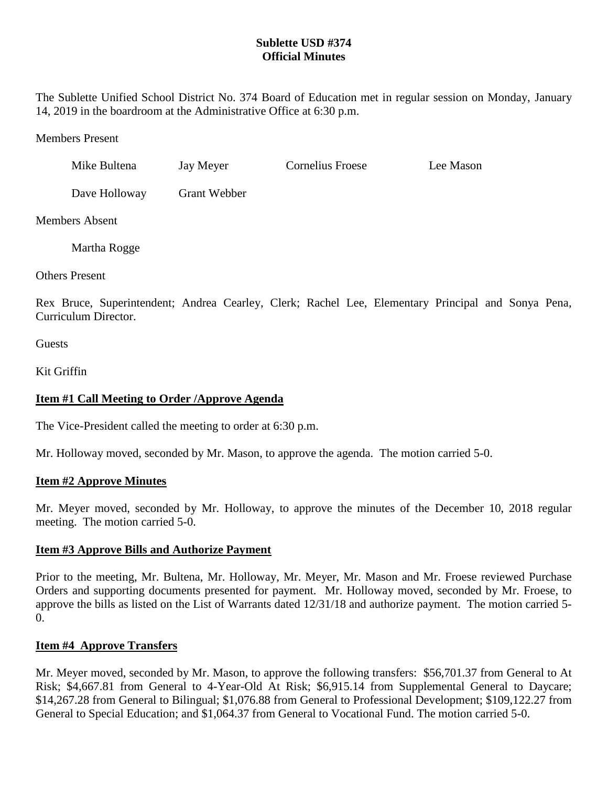# **Sublette USD #374 Official Minutes**

The Sublette Unified School District No. 374 Board of Education met in regular session on Monday, January 14, 2019 in the boardroom at the Administrative Office at 6:30 p.m.

Members Present

| Mike Bultena  | Jay Meyer    | Cornelius Froese | Lee Mason |
|---------------|--------------|------------------|-----------|
| Dave Holloway | Grant Webber |                  |           |

Members Absent

Martha Rogge

Others Present

Rex Bruce, Superintendent; Andrea Cearley, Clerk; Rachel Lee, Elementary Principal and Sonya Pena, Curriculum Director.

**Guests** 

Kit Griffin

# **Item #1 Call Meeting to Order /Approve Agenda**

The Vice-President called the meeting to order at 6:30 p.m.

Mr. Holloway moved, seconded by Mr. Mason, to approve the agenda. The motion carried 5-0.

# **Item #2 Approve Minutes**

Mr. Meyer moved, seconded by Mr. Holloway, to approve the minutes of the December 10, 2018 regular meeting. The motion carried 5-0.

# **Item #3 Approve Bills and Authorize Payment**

Prior to the meeting, Mr. Bultena, Mr. Holloway, Mr. Meyer, Mr. Mason and Mr. Froese reviewed Purchase Orders and supporting documents presented for payment. Mr. Holloway moved, seconded by Mr. Froese, to approve the bills as listed on the List of Warrants dated 12/31/18 and authorize payment. The motion carried 5- 0.

# **Item #4 Approve Transfers**

Mr. Meyer moved, seconded by Mr. Mason, to approve the following transfers: \$56,701.37 from General to At Risk; \$4,667.81 from General to 4-Year-Old At Risk; \$6,915.14 from Supplemental General to Daycare; \$14,267.28 from General to Bilingual; \$1,076.88 from General to Professional Development; \$109,122.27 from General to Special Education; and \$1,064.37 from General to Vocational Fund. The motion carried 5-0.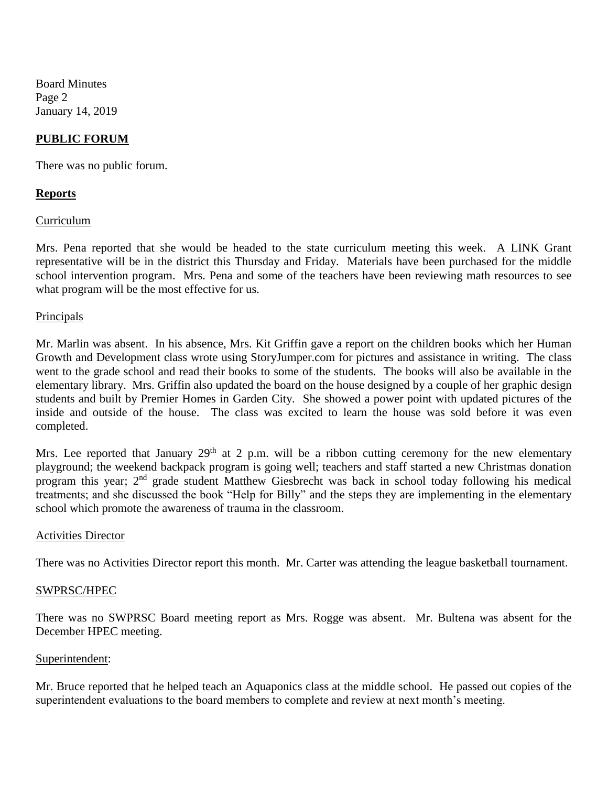Board Minutes Page 2 January 14, 2019

### **PUBLIC FORUM**

There was no public forum.

### **Reports**

#### Curriculum

Mrs. Pena reported that she would be headed to the state curriculum meeting this week. A LINK Grant representative will be in the district this Thursday and Friday. Materials have been purchased for the middle school intervention program. Mrs. Pena and some of the teachers have been reviewing math resources to see what program will be the most effective for us.

#### Principals

Mr. Marlin was absent. In his absence, Mrs. Kit Griffin gave a report on the children books which her Human Growth and Development class wrote using StoryJumper.com for pictures and assistance in writing. The class went to the grade school and read their books to some of the students. The books will also be available in the elementary library. Mrs. Griffin also updated the board on the house designed by a couple of her graphic design students and built by Premier Homes in Garden City. She showed a power point with updated pictures of the inside and outside of the house. The class was excited to learn the house was sold before it was even completed.

Mrs. Lee reported that January  $29<sup>th</sup>$  at 2 p.m. will be a ribbon cutting ceremony for the new elementary playground; the weekend backpack program is going well; teachers and staff started a new Christmas donation program this year; 2nd grade student Matthew Giesbrecht was back in school today following his medical treatments; and she discussed the book "Help for Billy" and the steps they are implementing in the elementary school which promote the awareness of trauma in the classroom.

#### Activities Director

There was no Activities Director report this month. Mr. Carter was attending the league basketball tournament.

#### SWPRSC/HPEC

There was no SWPRSC Board meeting report as Mrs. Rogge was absent. Mr. Bultena was absent for the December HPEC meeting.

#### Superintendent:

Mr. Bruce reported that he helped teach an Aquaponics class at the middle school. He passed out copies of the superintendent evaluations to the board members to complete and review at next month's meeting.